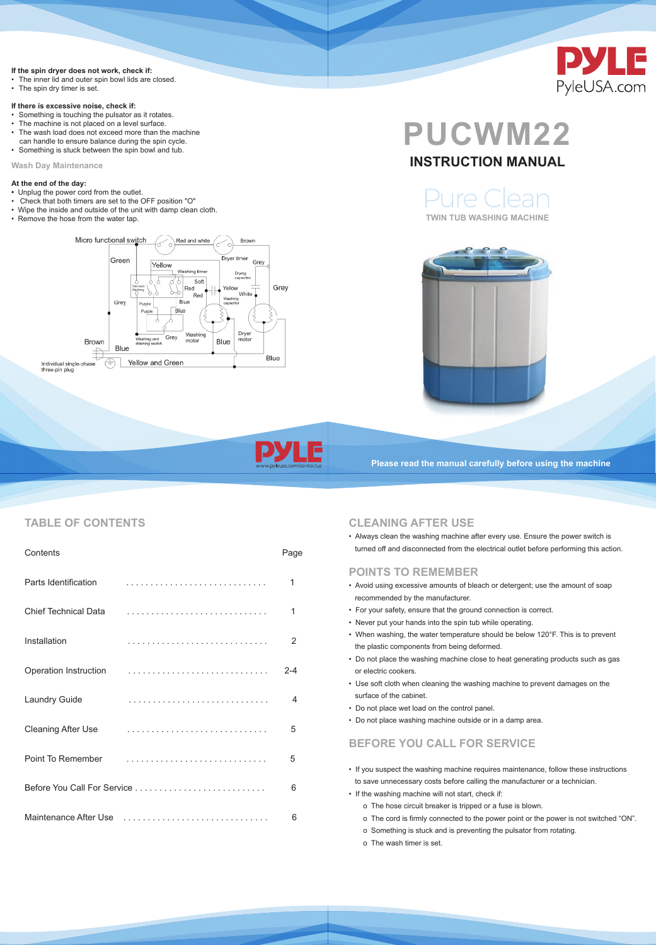#### **If the spin dryer does not work, check if:**

- The inner lid and outer spin bowl lids are closed.
- The spin dry timer is set.

#### **If there is excessive noise, check if:**

- Something is touching the pulsator as it rotates.
- The machine is not placed on a level surface.
- The wash load does not exceed more than the machine can handle to ensure balance during the spin cycle.
- Something is stuck between the spin bowl and tub.

**Wash Day Maintenance**

#### **At the end of the day:**

- Unplug the power cord from the outlet.
- Check that both timers are set to the OFF position "O"
- Wipe the inside and outside of the unit with damp clean cloth.
- 



• Remove the hose from the water tap. **TWIN TUB WASHING MACHINE**









**Please read the manual carefully before using the machine**

## **CLEANING AFTER USE**

• Always clean the washing machine after every use. Ensure the power switch is turned off and disconnected from the electrical outlet before performing this action.

## **POINTS TO REMEMBER**

- Avoid using excessive amounts of bleach or detergent; use the amount of soap recommended by the manufacturer.
- For your safety, ensure that the ground connection is correct.
- Never put your hands into the spin tub while operating.
- When washing, the water temperature should be below 120°F. This is to prevent the plastic components from being deformed.
- Do not place the washing machine close to heat generating products such as gas or electric cookers.
- Use soft cloth when cleaning the washing machine to prevent damages on the surface of the cabinet.
- Do not place wet load on the control panel.
- Do not place washing machine outside or in a damp area.

| <b>Point To Remember</b> |  |
|--------------------------|--|
|                          |  |
| Maintenance After Use    |  |

## **BEFORE YOU CALL FOR SERVICE**

- If you suspect the washing machine requires maintenance, follow these instructions to save unnecessary costs before calling the manufacturer or a technician.
- If the washing machine will not start, check if:
	- o The hose circuit breaker is tripped or a fuse is blown.
	- o The cord is firmly connected to the power point or the power is not switched "ON". o Something is stuck and is preventing the pulsator from rotating.
	- o The wash timer is set.

## **TABLE OF CONTENTS**

| <b>Contents</b>              |   | Page                     |
|------------------------------|---|--------------------------|
| <b>Parts Identification</b>  |   |                          |
| <b>Chief Technical Data</b>  |   | 1                        |
| <b>Installation</b>          |   | $\overline{2}$           |
| <b>Operation Instruction</b> |   | 2-4                      |
| <b>Laundry Guide</b>         | . | $\overline{\mathcal{A}}$ |
| <b>Cleaning After Use</b>    |   | 5                        |

## **INSTRUCTION MANUAL**

Pure Clean

# **PUCWM22**